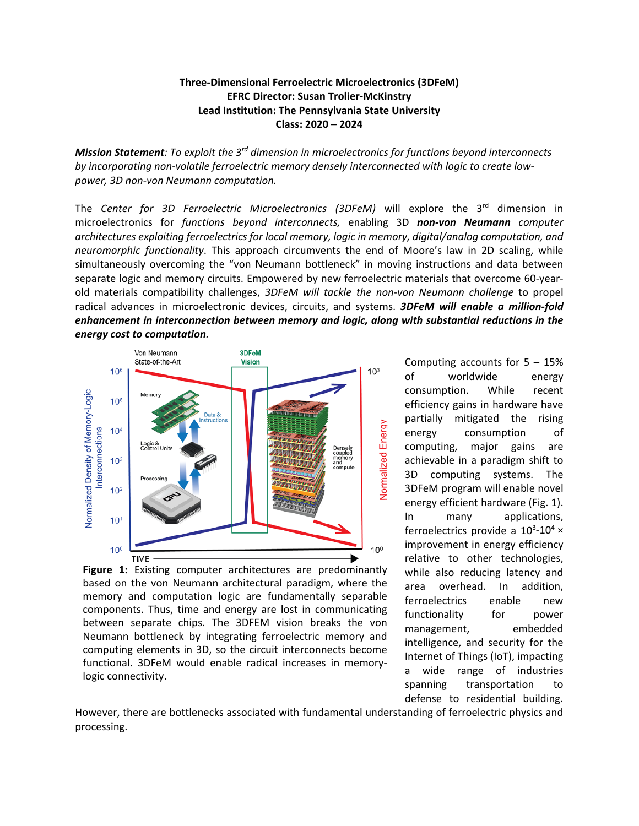## **Three-Dimensional Ferroelectric Microelectronics (3DFeM) EFRC Director: Susan Trolier-McKinstry Lead Institution: The Pennsylvania State University Class: 2020 – 2024**

*Mission Statement: To exploit the 3rd dimension in microelectronics for functions beyond interconnects by incorporating non-volatile ferroelectric memory densely interconnected with logic to create lowpower, 3D non-von Neumann computation.*

The *Center for 3D Ferroelectric Microelectronics (3DFeM)* will explore the 3<sup>rd</sup> dimension in microelectronics for *functions beyond interconnects,* enabling 3D *non-von Neumann computer architectures exploiting ferroelectrics for local memory, logic in memory, digital/analog computation, and neuromorphic functionality*. This approach circumvents the end of Moore's law in 2D scaling, while simultaneously overcoming the "von Neumann bottleneck" in moving instructions and data between separate logic and memory circuits. Empowered by new ferroelectric materials that overcome 60-yearold materials compatibility challenges, *3DFeM will tackle the non-von Neumann challenge* to propel radical advances in microelectronic devices, circuits, and systems. *3DFeM will enable a million-fold enhancement in interconnection between memory and logic, along with substantial reductions in the energy cost to computation.* 



**Figure 1:** Existing computer architectures are predominantly based on the von Neumann architectural paradigm, where the memory and computation logic are fundamentally separable components. Thus, time and energy are lost in communicating between separate chips. The 3DFEM vision breaks the von Neumann bottleneck by integrating ferroelectric memory and computing elements in 3D, so the circuit interconnects become functional. 3DFeM would enable radical increases in memorylogic connectivity.

Computing accounts for  $5 - 15%$ of worldwide energy consumption. While recent efficiency gains in hardware have partially mitigated the rising energy consumption of computing, major gains are achievable in a paradigm shift to 3D computing systems. The 3DFeM program will enable novel energy efficient hardware (Fig. 1). In many applications, ferroelectrics provide a  $10^3$ - $10^4$   $\times$ improvement in energy efficiency relative to other technologies, while also reducing latency and area overhead. In addition, ferroelectrics enable new functionality for power management, embedded intelligence, and security for the Internet of Things (IoT), impacting a wide range of industries spanning transportation to defense to residential building.

However, there are bottlenecks associated with fundamental understanding of ferroelectric physics and processing.